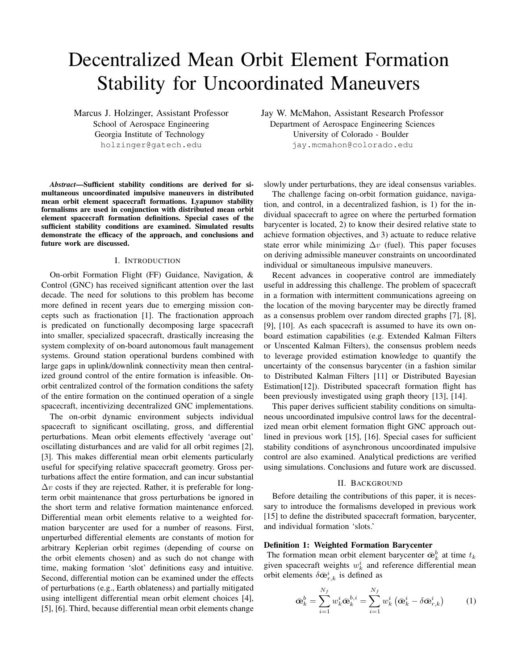# Decentralized Mean Orbit Element Formation Stability for Uncoordinated Maneuvers

Marcus J. Holzinger, Assistant Professor School of Aerospace Engineering Georgia Institute of Technology holzinger@gatech.edu

*Abstract*—Sufficient stability conditions are derived for simultaneous uncoordinated impulsive maneuvers in distributed mean orbit element spacecraft formations. Lyapunov stability formalisms are used in conjunction with distributed mean orbit element spacecraft formation definitions. Special cases of the sufficient stability conditions are examined. Simulated results demonstrate the efficacy of the approach, and conclusions and future work are discussed.

## I. INTRODUCTION

On-orbit Formation Flight (FF) Guidance, Navigation, & Control (GNC) has received significant attention over the last decade. The need for solutions to this problem has become more defined in recent years due to emerging mission concepts such as fractionation [1]. The fractionation approach is predicated on functionally decomposing large spacecraft into smaller, specialized spacecraft, drastically increasing the system complexity of on-board autonomous fault management systems. Ground station operational burdens combined with large gaps in uplink/downlink connectivity mean then centralized ground control of the entire formation is infeasible. Onorbit centralized control of the formation conditions the safety of the entire formation on the continued operation of a single spacecraft, incentivizing decentralized GNC implementations.

The on-orbit dynamic environment subjects individual spacecraft to significant oscillating, gross, and differential perturbations. Mean orbit elements effectively 'average out' oscillating disturbances and are valid for all orbit regimes [2], [3]. This makes differential mean orbit elements particularly useful for specifying relative spacecraft geometry. Gross perturbations affect the entire formation, and can incur substantial  $\Delta v$  costs if they are rejected. Rather, it is preferable for longterm orbit maintenance that gross perturbations be ignored in the short term and relative formation maintenance enforced. Differential mean orbit elements relative to a weighted formation barycenter are used for a number of reasons. First, unperturbed differential elements are constants of motion for arbitrary Keplerian orbit regimes (depending of course on the orbit elements chosen) and as such do not change with time, making formation 'slot' definitions easy and intuitive. Second, differential motion can be examined under the effects of perturbations (e.g., Earth oblateness) and partially mitigated using intelligent differential mean orbit element choices [4], [5], [6]. Third, because differential mean orbit elements change Jay W. McMahon, Assistant Research Professor Department of Aerospace Engineering Sciences University of Colorado - Boulder jay.mcmahon@colorado.edu

slowly under perturbations, they are ideal consensus variables.

The challenge facing on-orbit formation guidance, navigation, and control, in a decentralized fashion, is 1) for the individual spacecraft to agree on where the perturbed formation barycenter is located, 2) to know their desired relative state to achieve formation objectives, and 3) actuate to reduce relative state error while minimizing  $\Delta v$  (fuel). This paper focuses on deriving admissible maneuver constraints on uncoordinated individual or simultaneous impulsive maneuvers.

Recent advances in cooperative control are immediately useful in addressing this challenge. The problem of spacecraft in a formation with intermittent communications agreeing on the location of the moving barycenter may be directly framed as a consensus problem over random directed graphs [7], [8], [9], [10]. As each spacecraft is assumed to have its own onboard estimation capabilities (e.g. Extended Kalman Filters or Unscented Kalman Filters), the consensus problem needs to leverage provided estimation knowledge to quantify the uncertainty of the consensus barycenter (in a fashion similar to Distributed Kalman Filters [11] or Distributed Bayesian Estimation[12]). Distributed spacecraft formation flight has been previously investigated using graph theory [13], [14].

This paper derives sufficient stability conditions on simultaneous uncoordinated impulsive control laws for the decentralized mean orbit element formation flight GNC approach outlined in previous work [15], [16]. Special cases for sufficient stability conditions of asynchronous uncoordinated impulsive control are also examined. Analytical predictions are verified using simulations. Conclusions and future work are discussed.

#### II. BACKGROUND

Before detailing the contributions of this paper, it is necessary to introduce the formalisms developed in previous work [15] to define the distributed spacecraft formation, barycenter, and individual formation 'slots.'

#### Definition 1: Weighted Formation Barycenter

The formation mean orbit element barycenter  $\bar{\mathbf{e}}_k^b$  at time  $t_k$ given spacecraft weights  $w_k^i$  and reference differential mean orbit elements  $\delta \bar{\mathbf{\alpha}}_{r,k}^i$  is defined as

$$
\bar{\mathbf{\alpha}}_k^b = \sum_{i=1}^{N_f} w_k^i \bar{\mathbf{\alpha}}_k^{b,i} = \sum_{i=1}^{N_f} w_k^i \left( \bar{\mathbf{\alpha}}_k^i - \delta \bar{\mathbf{\alpha}}_{r,k}^i \right) \tag{1}
$$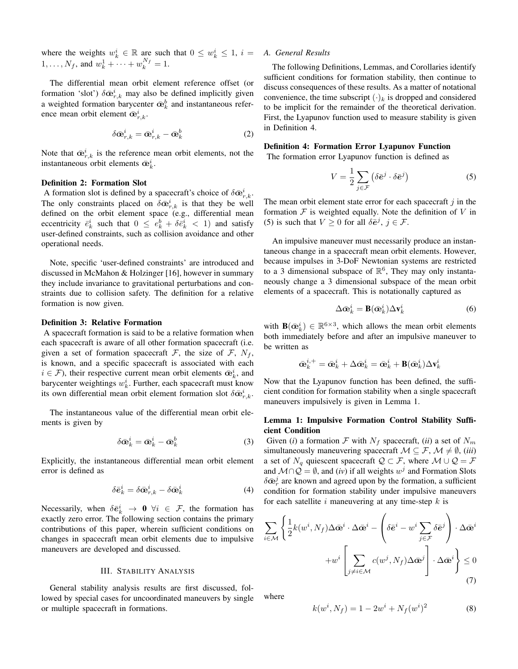where the weights  $w_k^i \in \mathbb{R}$  are such that  $0 \leq w_k^i \leq 1$ ,  $i =$  $1, \ldots, N_f$ , and  $w_k^1 + \cdots + w_k^{N_f} = 1$ .

The differential mean orbit element reference offset (or formation 'slot')  $\delta \bar{\mathbf{e}}_{r,k}^i$  may also be defined implicitly given a weighted formation barycenter  $\bar{\mathbf{e}}_k^b$  and instantaneous reference mean orbit element  $\bar{\mathbf{e}}_{r,k}^i$ .

$$
\delta \bar{\mathbf{\Phi}}_{r,k}^i = \bar{\mathbf{\Phi}}_{r,k}^i - \bar{\mathbf{\Phi}}_k^b \tag{2}
$$

Note that  $\bar{\mathbf{\alpha}}_{r,k}^i$  is the reference mean orbit elements, not the instantaneous orbit elements  $\bar{\mathbf{e}}_k^i$ .

## Definition 2: Formation Slot

A formation slot is defined by a spacecraft's choice of  $\delta \bar{\mathbf{\omega}}_{r,k}^i$ . The only constraints placed on  $\delta \bar{\mathbf{\omega}}_{r,k}^i$  is that they be well defined on the orbit element space (e.g., differential mean eccentricity  $\bar{e}_k^i$  such that  $0 \leq e_k^b + \delta \bar{e}_k^i < 1$  and satisfy user-defined constraints, such as collision avoidance and other operational needs.

Note, specific 'user-defined constraints' are introduced and discussed in McMahon & Holzinger [16], however in summary they include invariance to gravitational perturbations and constraints due to collision safety. The definition for a relative formation is now given.

#### Definition 3: Relative Formation

A spacecraft formation is said to be a relative formation when each spacecraft is aware of all other formation spacecraft (i.e. given a set of formation spacecraft  $\mathcal{F}$ , the size of  $\mathcal{F}$ ,  $N_f$ , is known, and a specific spacecraft is associated with each  $i \in \mathcal{F}$ ), their respective current mean orbit elements  $\bar{\mathbf{\alpha}}_k^i$ , and barycenter weightings  $w_k^i$ . Further, each spacecraft must know its own differential mean orbit element formation slot  $\delta \bar{\mathbf{\varpi}}^{i}_{r,k}$ .

The instantaneous value of the differential mean orbit elements is given by

$$
\delta \bar{\mathbf{\Phi}}_k^i = \bar{\mathbf{\Phi}}_k^i - \bar{\mathbf{\Phi}}_k^b \tag{3}
$$

Explicitly, the instantaneous differential mean orbit element error is defined as

$$
\delta \bar{\mathbf{e}}_k^i = \delta \bar{\mathbf{\Phi}}_{r,k}^i - \delta \bar{\mathbf{\Phi}}_k^i \tag{4}
$$

Necessarily, when  $\delta \bar{e}_k^i \rightarrow 0$   $\forall i \in \mathcal{F}$ , the formation has exactly zero error. The following section contains the primary contributions of this paper, wherein sufficient conditions on changes in spacecraft mean orbit elements due to impulsive maneuvers are developed and discussed.

## III. STABILITY ANALYSIS

General stability analysis results are first discussed, followed by special cases for uncoordinated maneuvers by single or multiple spacecraft in formations.

## *A. General Results*

The following Definitions, Lemmas, and Corollaries identify sufficient conditions for formation stability, then continue to discuss consequences of these results. As a matter of notational convenience, the time subscript  $(\cdot)_k$  is dropped and considered to be implicit for the remainder of the theoretical derivation. First, the Lyapunov function used to measure stability is given in Definition 4.

Definition 4: Formation Error Lyapunov Function

The formation error Lyapunov function is defined as

$$
V = \frac{1}{2} \sum_{j \in \mathcal{F}} \left( \delta \bar{e}^j \cdot \delta \bar{e}^j \right) \tag{5}
$$

The mean orbit element state error for each spacecraft  $j$  in the formation  $F$  is weighted equally. Note the definition of  $V$  in (5) is such that  $V \ge 0$  for all  $\delta \bar{e}^j$ ,  $j \in \mathcal{F}$ .

An impulsive maneuver must necessarily produce an instantaneous change in a spacecraft mean orbit elements. However, because impulses in 3-DoF Newtonian systems are restricted to a 3 dimensional subspace of  $\mathbb{R}^6$ , They may only instantaneously change a 3 dimensional subspace of the mean orbit elements of a spacecraft. This is notationally captured as

$$
\Delta \bar{\mathbf{\alpha}}_k^i = \mathbf{B}(\bar{\mathbf{\alpha}}_k^i) \Delta \mathbf{v}_k^i \tag{6}
$$

with  $\mathbf{B}(\bar{\bm{\alpha}}_k^i) \in \mathbb{R}^{6 \times 3}$ , which allows the mean orbit elements both immediately before and after an impulsive maneuver to be written as

$$
\bar{\mathbf{\Phi}}_k^{i,+} = \bar{\mathbf{\Phi}}_k^i + \Delta \bar{\mathbf{\Phi}}_k^i = \bar{\mathbf{\Phi}}_k^i + \mathbf{B}(\bar{\mathbf{\Phi}}_k^i) \Delta \mathbf{v}_k^i
$$

Now that the Lyapunov function has been defined, the sufficient condition for formation stability when a single spacecraft maneuvers impulsively is given in Lemma 1.

## Lemma 1: Impulsive Formation Control Stability Sufficient Condition

Given (*i*) a formation F with  $N_f$  spacecraft, (*ii*) a set of  $N_m$ simultaneously maneuvering spacecraft  $M \subseteq \mathcal{F}, \mathcal{M} \neq \emptyset$ , (*iii*) a set of  $N_q$  quiescent spacecraft  $\mathcal{Q} \subset \mathcal{F}$ , where  $\mathcal{M} \cup \mathcal{Q} = \mathcal{F}$ and  $\mathcal{M} \cap \mathcal{Q} = \emptyset$ , and (*iv*) if all weights  $w^j$  and Formation Slots  $\delta \bar{\mathbf{\alpha}}_r^j$  are known and agreed upon by the formation, a sufficient condition for formation stability under impulsive maneuvers for each satellite i maneuvering at any time-step  $k$  is

$$
\sum_{i \in \mathcal{M}} \left\{ \frac{1}{2} k(w^i, N_f) \Delta \bar{\mathbf{e}}^i \cdot \Delta \bar{\mathbf{e}}^i - \left( \delta \bar{\mathbf{e}}^i - w^i \sum_{j \in \mathcal{F}} \delta \bar{\mathbf{e}}^j \right) \cdot \Delta \bar{\mathbf{e}}^i + w^i \left[ \sum_{j \neq i \in \mathcal{M}} c(w^j, N_f) \Delta \bar{\mathbf{e}}^j \right] \cdot \Delta \bar{\mathbf{e}}^i \right\} \leq 0
$$
\n(7)

where

$$
k(w^i, N_f) = 1 - 2w^i + N_f(w^i)^2 \tag{8}
$$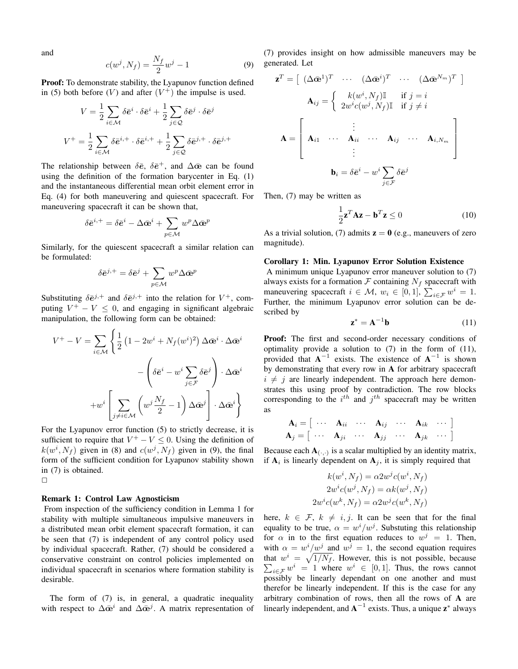and

$$
c(w^j, N_f) = \frac{N_f}{2}w^j - 1
$$
 (9)

Proof: To demonstrate stability, the Lyapunov function defined in (5) both before  $(V)$  and after  $(V^+)$  the impulse is used.

$$
V = \frac{1}{2} \sum_{i \in \mathcal{M}} \delta \bar{e}^i \cdot \delta \bar{e}^i + \frac{1}{2} \sum_{j \in \mathcal{Q}} \delta \bar{e}^j \cdot \delta \bar{e}^j
$$

$$
V^+ = \frac{1}{2} \sum_{i \in \mathcal{M}} \delta \bar{e}^{i,+} \cdot \delta \bar{e}^{i,+} + \frac{1}{2} \sum_{j \in \mathcal{Q}} \delta \bar{e}^{j,+} \cdot \delta \bar{e}^{j,+}
$$

The relationship between  $\delta \bar{e}$ ,  $\delta \bar{e}^+$ , and  $\Delta \bar{e}$  can be found using the definition of the formation barycenter in Eq. (1) and the instantaneous differential mean orbit element error in Eq. (4) for both maneuvering and quiescent spacecraft. For maneuvering spacecraft it can be shown that,

$$
\delta \bar{\boldsymbol{e}}^{i,+} = \delta \bar{\boldsymbol{e}}^i - \Delta \bar{\boldsymbol{\alpha}}^i + \sum_{p \in \mathcal{M}} w^p \Delta \bar{\boldsymbol{\alpha}}^p
$$

Similarly, for the quiescent spacecraft a similar relation can be formulated:

$$
\delta \bar{\mathbf{e}}^{j,+} = \delta \bar{\mathbf{e}}^j + \sum_{p \in \mathcal{M}} w^p \Delta \bar{\mathbf{e}}^p
$$

Substituting  $\delta \bar{\mathbf{e}}^{j,+}$  and  $\delta \bar{\mathbf{e}}^{j,+}$  into the relation for  $V^+$ , computing  $V^+ - V \leq 0$ , and engaging in significant algebraic manipulation, the following form can be obtained:

$$
V^+ - V = \sum_{i \in \mathcal{M}} \left\{ \frac{1}{2} \left( 1 - 2w^i + N_f(w^i)^2 \right) \Delta \bar{\mathbf{e}}^i \cdot \Delta \bar{\mathbf{e}}^i \right. \\
\left. - \left( \delta \bar{\mathbf{e}}^i - w^i \sum_{j \in \mathcal{F}} \delta \bar{\mathbf{e}}^j \right) \cdot \Delta \bar{\mathbf{e}}^i \right. \\
\left. + w^i \left[ \sum_{j \neq i \in \mathcal{M}} \left( w^j \frac{N_f}{2} - 1 \right) \Delta \bar{\mathbf{e}}^j \right] \cdot \Delta \bar{\mathbf{e}}^i \right\}
$$

For the Lyapunov error function (5) to strictly decrease, it is sufficient to require that  $V^+ - V \leq 0$ . Using the definition of  $k(w^i, N_f)$  given in (8) and  $c(w^j, N_f)$  given in (9), the final form of the sufficient condition for Lyapunov stability shown in (7) is obtained.  $\Box$ 

#### Remark 1: Control Law Agnosticism

From inspection of the sufficiency condition in Lemma 1 for stability with multiple simultaneous impulsive maneuvers in a distributed mean orbit element spacecraft formation, it can be seen that (7) is independent of any control policy used by individual spacecraft. Rather, (7) should be considered a conservative constraint on control policies implemented on individual spacecraft in scenarios where formation stability is desirable.

The form of (7) is, in general, a quadratic inequality with respect to  $\Delta \bar{\mathbf{\omega}}^i$  and  $\Delta \bar{\mathbf{\omega}}^j$ . A matrix representation of (7) provides insight on how admissible maneuvers may be generated. Let

$$
\mathbf{z}^T = \begin{bmatrix} (\Delta \bar{\mathbf{\alpha}}^1)^T & \cdots & (\Delta \bar{\mathbf{\alpha}}^i)^T & \cdots & (\Delta \bar{\mathbf{\alpha}}^{N_m})^T \end{bmatrix}
$$

$$
\mathbf{A}_{ij} = \begin{cases} k(w^i, N_f) \mathbb{I} & \text{if } j = i \\ 2w^i c(w^j, N_f) \mathbb{I} & \text{if } j \neq i \end{cases}
$$

$$
\mathbf{A} = \begin{bmatrix} \vdots & \vdots & \cdots & \mathbf{A}_{ij} & \cdots & \mathbf{A}_{i, N_m} \\ \mathbf{A}_{i1} & \cdots & \mathbf{A}_{ii} & \cdots & \mathbf{A}_{ij} & \cdots & \mathbf{A}_{i, N_m} \\ \vdots & \vdots & \ddots & \vdots \\ \mathbf{b}_i = \delta \bar{\mathbf{e}}^i - w^i \sum_{j \in \mathcal{F}} \delta \bar{\mathbf{e}}^j \end{bmatrix}
$$

Then, (7) may be written as

$$
\frac{1}{2}\mathbf{z}^T \mathbf{A} \mathbf{z} - \mathbf{b}^T \mathbf{z} \le 0
$$
 (10)

As a trivial solution, (7) admits  $z = 0$  (e.g., maneuvers of zero magnitude).

#### Corollary 1: Min. Lyapunov Error Solution Existence

A minimum unique Lyapunov error maneuver solution to (7) always exists for a formation  $\mathcal F$  containing  $N_f$  spacecraft with maneuvering spacecraft  $i \in \mathcal{M}$ ,  $w_i \in [0, 1]$ ,  $\sum_{i \in \mathcal{F}} w^i = 1$ . Further, the minimum Lyapunov error solution can be described by

$$
\mathbf{z}^* = \mathbf{A}^{-1} \mathbf{b} \tag{11}
$$

Proof: The first and second-order necessary conditions of optimality provide a solution to (7) in the form of (11), provided that  $A^{-1}$  exists. The existence of  $A^{-1}$  is shown by demonstrating that every row in A for arbitrary spacecraft  $i \neq j$  are linearly independent. The approach here demonstrates this using proof by contradiction. The row blocks corresponding to the  $i^{th}$  and  $j^{th}$  spacecraft may be written as

$$
\mathbf{A}_{i} = \begin{bmatrix} \cdots & \mathbf{A}_{ii} & \cdots & \mathbf{A}_{ij} & \cdots & \mathbf{A}_{ik} & \cdots \end{bmatrix}
$$

$$
\mathbf{A}_{j} = \begin{bmatrix} \cdots & \mathbf{A}_{ji} & \cdots & \mathbf{A}_{jj} & \cdots & \mathbf{A}_{jk} & \cdots \end{bmatrix}
$$

Because each  $\mathbf{A}_{(\cdot,\cdot)}$  is a scalar multiplied by an identity matrix, if  $A_i$  is linearly dependent on  $A_j$ , it is simply required that

$$
k(w^i, N_f) = \alpha 2w^j c(w^i, N_f)
$$
  

$$
2w^i c(w^j, N_f) = \alpha k(w^j, N_f)
$$
  

$$
2w^i c(w^k, N_f) = \alpha 2w^j c(w^k, N_f)
$$

here,  $k \in \mathcal{F}$ ,  $k \neq i, j$ . It can be seen that for the final equality to be true,  $\alpha = w^i/w^j$ . Substuting this relationship for  $\alpha$  in to the first equation reduces to  $w^j = 1$ . Then, with  $\alpha = w^i/w^j$  and  $w^j = 1$ , the second equation requires that  $w^i = \sqrt{1/N_f}$ . However, this is not possible, because  $\sum_{i \in \mathcal{F}} w^i = 1$  where  $w^i \in [0, 1]$ . Thus, the rows cannot possibly be linearly dependant on one another and must therefor be linearly independent. If this is the case for any arbitrary combination of rows, then all the rows of A are linearly independent, and  $A^{-1}$  exists. Thus, a unique  $z^*$  always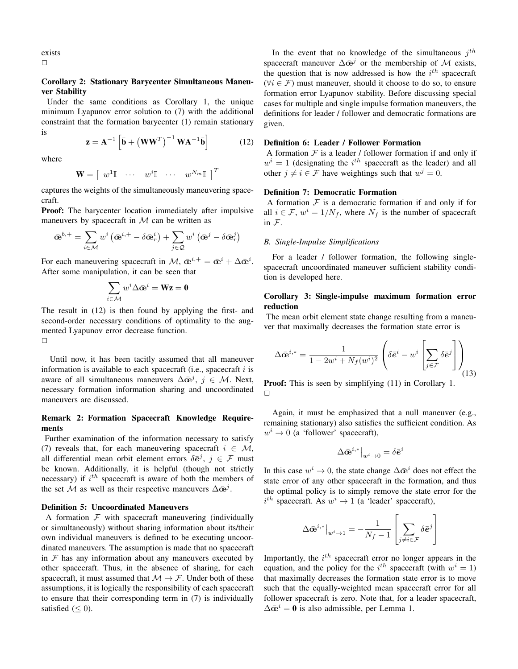exists  $\Box$ 

# Corollary 2: Stationary Barycenter Simultaneous Maneuver Stability

Under the same conditions as Corollary 1, the unique minimum Lyapunov error solution to (7) with the additional constraint that the formation barycenter (1) remain stationary is

$$
\mathbf{z} = \mathbf{A}^{-1} \left[ \bar{\mathbf{b}} + \left( \mathbf{W} \mathbf{W}^T \right)^{-1} \mathbf{W} \mathbf{A}^{-1} \bar{\mathbf{b}} \right]
$$
(12)

where

$$
\mathbf{W} = \begin{bmatrix} w^1 \mathbb{I} & \cdots & w^i \mathbb{I} & \cdots & w^{N_m} \mathbb{I} \end{bmatrix}^T
$$

captures the weights of the simultaneously maneuvering spacecraft.

**Proof:** The barycenter location immediately after impulsive maneuvers by spacecraft in  $M$  can be written as

$$
\bar{\mathbf{w}}^{b,+} = \sum_{i \in \mathcal{M}} w^i \left( \bar{\mathbf{w}}^{i,+} - \delta \bar{\mathbf{w}}_r^i \right) + \sum_{j \in \mathcal{Q}} w^i \left( \bar{\mathbf{w}}^j - \delta \bar{\mathbf{w}}_r^j \right)
$$

For each maneuvering spacecraft in  $\mathcal{M}$ ,  $\bar{\mathbf{e}}^{i,+} = \bar{\mathbf{e}}^i + \Delta \bar{\mathbf{e}}^i$ . After some manipulation, it can be seen that

$$
\sum_{i \in \mathcal{M}} w^i \Delta \bar{\mathbf{\omega}}^i = \mathbf{W} \mathbf{z} = \mathbf{0}
$$

The result in (12) is then found by applying the first- and second-order necessary conditions of optimality to the augmented Lyapunov error decrease function.  $\Box$ 

Until now, it has been tacitly assumed that all maneuver information is available to each spacecraft (i.e., spacecraft  $i$  is aware of all simultaneous maneuvers  $\Delta \bar{\mathbf{\omega}}^j$ ,  $j \in \mathcal{M}$ . Next, necessary formation information sharing and uncoordinated maneuvers are discussed.

# Remark 2: Formation Spacecraft Knowledge Requirements

Further examination of the information necessary to satisfy (7) reveals that, for each maneuvering spacecraft  $i \in \mathcal{M}$ , all differential mean orbit element errors  $\delta \bar{e}^j$ ,  $j \in \mathcal{F}$  must be known. Additionally, it is helpful (though not strictly necessary) if  $i^{th}$  spacecraft is aware of both the members of the set M as well as their respective maneuvers  $\Delta \bar{\mathbf{\omega}}^j$ .

## Definition 5: Uncoordinated Maneuvers

A formation  $F$  with spacecraft maneuvering (individually or simultaneously) without sharing information about its/their own individual maneuvers is defined to be executing uncoordinated maneuvers. The assumption is made that no spacecraft in  $F$  has any information about any maneuvers executed by other spacecraft. Thus, in the absence of sharing, for each spacecraft, it must assumed that  $M \rightarrow \mathcal{F}$ . Under both of these assumptions, it is logically the responsibility of each spacecraft to ensure that their corresponding term in (7) is individually satisfied ( $\leq$  0).

In the event that no knowledge of the simultaneous  $j<sup>th</sup>$ spacecraft maneuver  $\Delta \bar{\mathbf{\omega}}^j$  or the membership of M exists, the question that is now addressed is how the  $i^{th}$  spacecraft  $(\forall i \in \mathcal{F})$  must maneuver, should it choose to do so, to ensure formation error Lyapunov stability. Before discussing special cases for multiple and single impulse formation maneuvers, the definitions for leader / follower and democratic formations are given.

# Definition 6: Leader / Follower Formation

A formation  $F$  is a leader / follower formation if and only if  $w<sup>i</sup> = 1$  (designating the  $i<sup>th</sup>$  spacecraft as the leader) and all other  $j \neq i \in \mathcal{F}$  have weightings such that  $w^j = 0$ .

## Definition 7: Democratic Formation

A formation  $F$  is a democratic formation if and only if for all  $i \in \mathcal{F}$ ,  $w^i = 1/N_f$ , where  $N_f$  is the number of spacecraft in F.

## *B. Single-Impulse Simplifications*

For a leader / follower formation, the following singlespacecraft uncoordinated maneuver sufficient stability condition is developed here.

# Corollary 3: Single-impulse maximum formation error reduction

The mean orbit element state change resulting from a maneuver that maximally decreases the formation state error is

$$
\Delta \bar{\mathbf{\alpha}}^{i,*} = \frac{1}{1 - 2w^i + N_f(w^i)^2} \left( \delta \bar{\mathbf{e}}^i - w^i \left[ \sum_{j \in \mathcal{F}} \delta \bar{\mathbf{e}}^j \right] \right)_{\text{(13)}}
$$

**Proof:** This is seen by simplifying  $(11)$  in Corollary 1.  $\Box$ 

Again, it must be emphasized that a null maneuver (e.g., remaining stationary) also satisfies the sufficient condition. As  $w^i \rightarrow 0$  (a 'follower' spacecraft),

$$
\Delta \bar{\mathbf{e}}^{i,*}\big|_{w^i\to 0} = \delta \bar{\boldsymbol{e}}^i
$$

In this case  $w^i \to 0$ , the state change  $\Delta \bar{\mathbf{\omega}}^i$  does not effect the state error of any other spacecraft in the formation, and thus the optimal policy is to simply remove the state error for the  $i^{th}$  spacecraft. As  $w^i \rightarrow 1$  (a 'leader' spacecraft),

$$
\Delta \bar{\mathbf{e}}^{i,*}\big|_{w^i\rightarrow 1} = -\frac{1}{N_f-1}\left[\sum_{j\neq i\in\mathcal{F}}\delta \bar{\bm{e}}^j\right]
$$

Importantly, the  $i<sup>th</sup>$  spacecraft error no longer appears in the equation, and the policy for the  $i^{th}$  spacecraft (with  $w^{i} = 1$ ) that maximally decreases the formation state error is to move such that the equally-weighted mean spacecraft error for all follower spacecraft is zero. Note that, for a leader spacecraft,  $\Delta \bar{\mathbf{\alpha}}^i = \mathbf{0}$  is also admissible, per Lemma 1.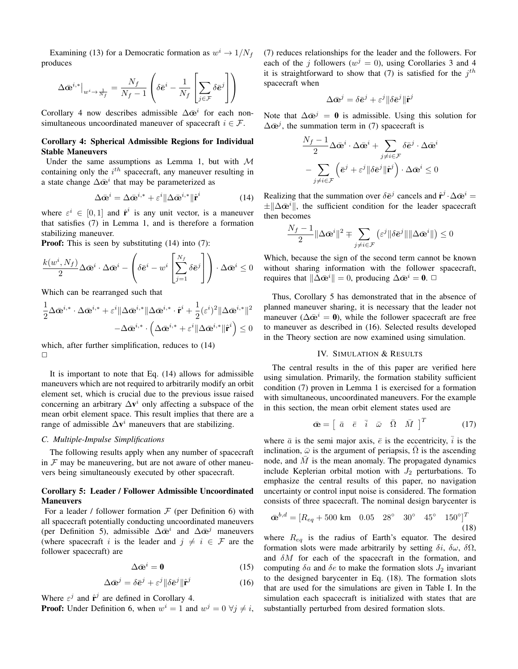Examining (13) for a Democratic formation as  $w^i \rightarrow 1/N_f$ produces

$$
\Delta \bar{\mathbf{\omega}}^{i,*}\big|_{w^i \to \frac{1}{N_f}} = \frac{N_f}{N_f - 1} \left( \delta \bar{e}^i - \frac{1}{N_f} \left[ \sum_{j \in \mathcal{F}} \delta \bar{e}^j \right] \right)
$$

Corollary 4 now describes admissible  $\Delta \bar{\mathbf{e}}^i$  for each nonsimultaneous uncoordinated maneuver of spacecraft  $i \in \mathcal{F}$ .

# Corollary 4: Spherical Admissible Regions for Individual Stable Maneuvers

Under the same assumptions as Lemma 1, but with  $M$ containing only the  $i^{th}$  spacecraft, any maneuver resulting in a state change  $\Delta \bar{\mathbf{\alpha}}^i$  that may be parameterized as

$$
\Delta \bar{\mathbf{\omega}}^i = \Delta \bar{\mathbf{\omega}}^{i,*} + \varepsilon^i \| \Delta \bar{\mathbf{\omega}}^{i,*} \| \hat{\mathbf{r}}^i \tag{14}
$$

where  $\varepsilon^i \in [0,1]$  and  $\hat{\mathbf{r}}^i$  is any unit vector, is a maneuver that satisfies (7) in Lemma 1, and is therefore a formation stabilizing maneuver.

**Proof:** This is seen by substituting (14) into (7):

$$
\frac{k(w^i, N_f)}{2} \Delta \bar{\mathbf{\omega}}^i \cdot \Delta \bar{\mathbf{\omega}}^i - \left( \delta \bar{e}^i - w^i \left[ \sum_{j=1}^{N_f} \delta \bar{e}^j \right] \right) \cdot \Delta \bar{\mathbf{\omega}}^i \le 0
$$

Which can be rearranged such that

$$
\begin{aligned} \frac{1}{2}\Delta\bar{\mathbf{\Phi}}^{i,*}\cdot\Delta\bar{\mathbf{\Phi}}^{i,*}+\varepsilon^i\|\Delta\bar{\mathbf{\Phi}}^{i,*}\|\Delta\bar{\mathbf{\Phi}}^{i,*}\cdot\hat{\mathbf{r}}^i+\frac{1}{2}(\varepsilon^i)^2\|\Delta\bar{\mathbf{\Phi}}^{i,*}\|^2\\ -\Delta\bar{\mathbf{\Phi}}^{i,*}\cdot\Big(\Delta\bar{\mathbf{\Phi}}^{i,*}+\varepsilon^i\|\Delta\bar{\mathbf{\Phi}}^{i,*}\|\hat{\mathbf{r}}^i\Big)\leq0 \end{aligned}
$$

which, after further simplification, reduces to (14)  $\Box$ 

It is important to note that Eq. (14) allows for admissible maneuvers which are not required to arbitrarily modify an orbit element set, which is crucial due to the previous issue raised concerning an arbitrary  $\Delta \mathbf{v}^i$  only affecting a subspace of the mean orbit element space. This result implies that there are a range of admissible  $\Delta v^i$  maneuvers that are stabilizing.

# *C. Multiple-Impulse Simplifications*

The following results apply when any number of spacecraft in  $F$  may be maneuvering, but are not aware of other maneuvers being simultaneously executed by other spacecraft.

# Corollary 5: Leader / Follower Admissible Uncoordinated **Maneuvers**

For a leader / follower formation  $F$  (per Definition 6) with all spacecraft potentially conducting uncoordinated maneuvers (per Definition 5), admissible  $\Delta \bar{\mathbf{\alpha}}^i$  and  $\Delta \bar{\mathbf{\alpha}}^j$  maneuvers (where spacecraft i is the leader and  $j \neq i \in \mathcal{F}$  are the follower spacecraft) are

$$
\Delta \bar{\mathbf{\infty}}^i = \mathbf{0} \tag{15}
$$

$$
\Delta \bar{\mathbf{\omega}}^j = \delta \bar{\mathbf{e}}^j + \varepsilon^j \|\delta \bar{\mathbf{e}}^j\| \hat{\mathbf{r}}^j \tag{16}
$$

Where  $\varepsilon^j$  and  $\hat{\mathbf{r}}^j$  are defined in Corollary 4.

**Proof:** Under Definition 6, when  $w^i = 1$  and  $w^j = 0$   $\forall j \neq i$ ,

(7) reduces relationships for the leader and the followers. For each of the j followers ( $w^j = 0$ ), using Corollaries 3 and 4 it is straightforward to show that (7) is satisfied for the  $j<sup>th</sup>$ spacecraft when

$$
\Delta \bar{\mathbf{w}}^j = \delta \bar{\boldsymbol{e}}^j + \varepsilon^j \|\delta \bar{\boldsymbol{e}}^j\| \hat{\mathbf{r}}^j
$$

Note that  $\Delta \bar{\mathbf{e}}^j = \mathbf{0}$  is admissible. Using this solution for  $\Delta \bar{\mathbf{\alpha}}^j$ , the summation term in (7) spacecraft is

$$
\begin{aligned} &\frac{N_f-1}{2}\Delta\bar{\mathbf{\alpha}}^i\cdot\Delta\bar{\mathbf{\alpha}}^i+\sum_{j\neq i\in\mathcal{F}}\delta\bar{\mathbf{e}}^j\cdot\Delta\bar{\mathbf{\alpha}}^i\\ &-\sum_{j\neq i\in\mathcal{F}}\left(\bar{\mathbf{e}}^j+\varepsilon^j\|\delta\bar{\mathbf{e}}^j\| \hat{\mathbf{r}}^j\right)\cdot\Delta\bar{\mathbf{\alpha}}^i\leq 0 \end{aligned}
$$

Realizing that the summation over  $\delta \bar{\mathbf{e}}^j$  cancels and  $\hat{\mathbf{r}}^j \cdot \Delta \bar{\mathbf{e}}^i =$  $\pm \|\Delta \bar{\mathbf{e}}^{i}\|$ , the sufficient condition for the leader spacecraft then becomes

$$
\frac{N_f-1}{2}\|\Delta \bar{\mathbf{w}}^i\|^2 \mp \sum_{j\neq i\in\mathcal{F}}\left(\varepsilon^j\|\delta \bar{\mathbf{e}}^j\|\|\Delta \bar{\mathbf{w}}^i\|\right) \leq 0
$$

Which, because the sign of the second term cannot be known without sharing information with the follower spacecraft, requires that  $\|\Delta \bar{\mathbf{e}}^i\| = 0$ , producing  $\Delta \bar{\mathbf{e}}^i = \mathbf{0}$ .  $\Box$ 

Thus, Corollary 5 has demonstrated that in the absence of planned maneuver sharing, it is necessary that the leader not maneuver ( $\Delta \bar{\mathbf{\omega}}^i = \mathbf{0}$ ), while the follower spacecraft are free to maneuver as described in (16). Selected results developed in the Theory section are now examined using simulation.

#### IV. SIMULATION & RESULTS

The central results in the of this paper are verified here using simulation. Primarily, the formation stability sufficient condition (7) proven in Lemma 1 is exercised for a formation with simultaneous, uncoordinated maneuvers. For the example in this section, the mean orbit element states used are

$$
\bar{\mathbf{\alpha}} = \begin{bmatrix} \bar{a} & \bar{e} & \bar{i} & \bar{\omega} & \bar{\Omega} & \bar{M} \end{bmatrix}^T \tag{17}
$$

where  $\bar{a}$  is the semi major axis,  $\bar{e}$  is the eccentricity,  $\bar{i}$  is the inclination,  $\bar{\omega}$  is the argument of periapsis,  $\bar{\Omega}$  is the ascending node, and  $M$  is the mean anomaly. The propagated dynamics include Keplerian orbital motion with  $J_2$  perturbations. To emphasize the central results of this paper, no navigation uncertainty or control input noise is considered. The formation consists of three spacecraft. The nominal design barycenter is

$$
\bar{\mathbf{\alpha}}^{b,d} = [R_{eq} + 500 \text{ km} \quad 0.05 \quad 28^{\circ} \quad 30^{\circ} \quad 45^{\circ} \quad 150^{\circ}]^T
$$
\n(18)

where  $R_{eq}$  is the radius of Earth's equator. The desired formation slots were made arbitrarily by setting  $\delta i$ ,  $\delta \omega$ ,  $\delta \Omega$ , and  $\delta M$  for each of the spacecraft in the formation, and computing  $\delta a$  and  $\delta e$  to make the formation slots  $J_2$  invariant to the designed barycenter in Eq. (18). The formation slots that are used for the simulations are given in Table I. In the simulation each spacecraft is initialized with states that are substantially perturbed from desired formation slots.